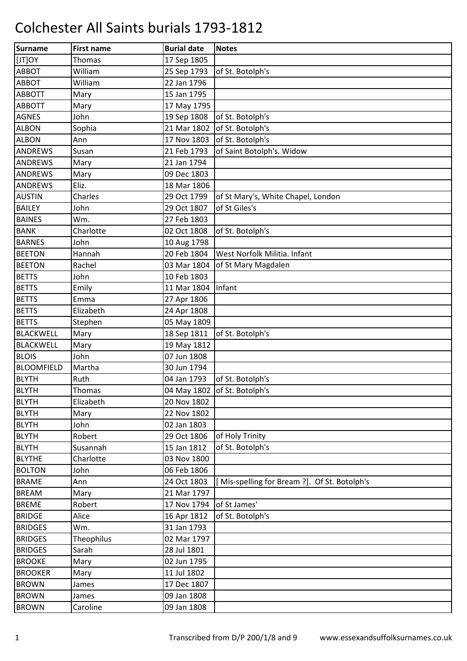| Surname           | <b>First name</b> | <b>Burial date</b> | <b>Notes</b>                                 |
|-------------------|-------------------|--------------------|----------------------------------------------|
| [JT]OY            | <b>Thomas</b>     | 17 Sep 1805        |                                              |
| <b>ABBOT</b>      | William           | 25 Sep 1793        | of St. Botolph's                             |
| ABBOT             | William           | 22 Jan 1796        |                                              |
| <b>ABBOTT</b>     | Mary              | 15 Jan 1795        |                                              |
| <b>ABBOTT</b>     | Mary              | 17 May 1795        |                                              |
| <b>AGNES</b>      | John              | 19 Sep 1808        | of St. Botolph's                             |
| <b>ALBON</b>      | Sophia            | 21 Mar 1802        | of St. Botolph's                             |
| <b>ALBON</b>      | Ann               | 17 Nov 1803        | of St. Botolph's                             |
| <b>ANDREWS</b>    | Susan             | 21 Feb 1793        | of Saint Botolph's. Widow                    |
| <b>ANDREWS</b>    | Mary              | 21 Jan 1794        |                                              |
| <b>ANDREWS</b>    | Mary              | 09 Dec 1803        |                                              |
| <b>ANDREWS</b>    | Eliz.             | 18 Mar 1806        |                                              |
| <b>AUSTIN</b>     | Charles           | 29 Oct 1799        | of St Mary's, White Chapel, London           |
| <b>BAILEY</b>     | John              | 29 Oct 1807        | of St Giles's                                |
| <b>BAINES</b>     | Wm.               | 27 Feb 1803        |                                              |
| <b>BANK</b>       | Charlotte         | 02 Oct 1808        | of St. Botolph's                             |
| <b>BARNES</b>     | John              | 10 Aug 1798        |                                              |
| <b>BEETON</b>     | Hannah            | 20 Feb 1804        | West Norfolk Militia. Infant                 |
| <b>BEETON</b>     | Rachel            | 03 Mar 1804        | of St Mary Magdalen                          |
| <b>BETTS</b>      | John              | 10 Feb 1803        |                                              |
| <b>BETTS</b>      | Emily             | 11 Mar 1804        | Infant                                       |
| <b>BETTS</b>      | Emma              | 27 Apr 1806        |                                              |
| <b>BETTS</b>      | Elizabeth         | 24 Apr 1808        |                                              |
| <b>BETTS</b>      | Stephen           | 05 May 1809        |                                              |
| <b>BLACKWELL</b>  | Mary              | 18 Sep 1811        | of St. Botolph's                             |
| <b>BLACKWELL</b>  | Mary              | 19 May 1812        |                                              |
| <b>BLOIS</b>      | John              | 07 Jun 1808        |                                              |
| <b>BLOOMFIELD</b> | Martha            | 30 Jun 1794        |                                              |
| <b>BLYTH</b>      | Ruth              | 04 Jan 1793        | of St. Botolph's                             |
| <b>BLYTH</b>      | Thomas            |                    | 04 May 1802 of St. Botolph's                 |
| <b>BLYTH</b>      | Elizabeth         | 20 Nov 1802        |                                              |
| <b>BLYTH</b>      | Mary              | 22 Nov 1802        |                                              |
| <b>BLYTH</b>      | John              | 02 Jan 1803        |                                              |
| <b>BLYTH</b>      | Robert            | 29 Oct 1806        | of Holy Trinity                              |
| <b>BLYTH</b>      | Susannah          | 15 Jan 1812        | of St. Botolph's                             |
| <b>BLYTHE</b>     | Charlotte         | 03 Nov 1800        |                                              |
| <b>BOLTON</b>     | John              | 06 Feb 1806        |                                              |
| <b>BRAME</b>      | Ann               | 24 Oct 1803        | [Mis-spelling for Bream ?]. Of St. Botolph's |
| <b>BREAM</b>      | Mary              | 21 Mar 1797        |                                              |
| <b>BREME</b>      | Robert            | 17 Nov 1794        | of St James'                                 |
| <b>BRIDGE</b>     | Alice             | 16 Apr 1812        | of St. Botolph's                             |
| <b>BRIDGES</b>    | Wm.               | 31 Jan 1793        |                                              |
| <b>BRIDGES</b>    | Theophilus        | 02 Mar 1797        |                                              |
| <b>BRIDGES</b>    | Sarah             | 28 Jul 1801        |                                              |
| <b>BROOKE</b>     | Mary              | 02 Jun 1795        |                                              |
| <b>BROOKER</b>    | Mary              | 11 Jul 1802        |                                              |
| <b>BROWN</b>      | James             | 17 Dec 1807        |                                              |
| <b>BROWN</b>      | James             | 09 Jan 1808        |                                              |
| <b>BROWN</b>      | Caroline          | 09 Jan 1808        |                                              |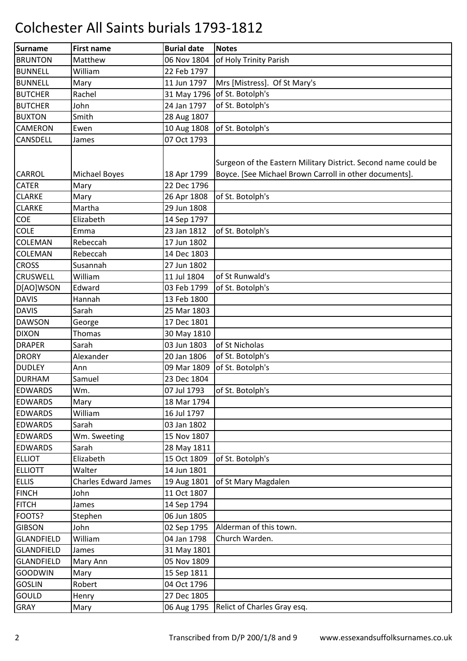| <b>Surname</b>    | <b>First name</b>           | <b>Burial date</b> | <b>Notes</b>                                                                                                             |
|-------------------|-----------------------------|--------------------|--------------------------------------------------------------------------------------------------------------------------|
| <b>BRUNTON</b>    | Matthew                     | 06 Nov 1804        | of Holy Trinity Parish                                                                                                   |
| <b>BUNNELL</b>    | William                     | 22 Feb 1797        |                                                                                                                          |
| <b>BUNNELL</b>    | Mary                        | 11 Jun 1797        | Mrs [Mistress]. Of St Mary's                                                                                             |
| <b>BUTCHER</b>    | Rachel                      | 31 May 1796        | of St. Botolph's                                                                                                         |
| <b>BUTCHER</b>    | John                        | 24 Jan 1797        | of St. Botolph's                                                                                                         |
| <b>BUXTON</b>     | Smith                       | 28 Aug 1807        |                                                                                                                          |
| <b>CAMERON</b>    | Ewen                        | 10 Aug 1808        | of St. Botolph's                                                                                                         |
| <b>CANSDELL</b>   | James                       | 07 Oct 1793        |                                                                                                                          |
| <b>CARROL</b>     | <b>Michael Boyes</b>        | 18 Apr 1799        | Surgeon of the Eastern Military District. Second name could be<br>Boyce. [See Michael Brown Carroll in other documents]. |
| <b>CATER</b>      | Mary                        | 22 Dec 1796        |                                                                                                                          |
| <b>CLARKE</b>     | Mary                        | 26 Apr 1808        | of St. Botolph's                                                                                                         |
| <b>CLARKE</b>     | Martha                      | 29 Jun 1808        |                                                                                                                          |
| COE               | Elizabeth                   | 14 Sep 1797        |                                                                                                                          |
| <b>COLE</b>       | Emma                        | 23 Jan 1812        | of St. Botolph's                                                                                                         |
| <b>COLEMAN</b>    | Rebeccah                    | 17 Jun 1802        |                                                                                                                          |
| <b>COLEMAN</b>    | Rebeccah                    | 14 Dec 1803        |                                                                                                                          |
| <b>CROSS</b>      | Susannah                    | 27 Jun 1802        |                                                                                                                          |
| <b>CRUSWELL</b>   | William                     | 11 Jul 1804        | of St Runwald's                                                                                                          |
| D[AO]WSON         | Edward                      | 03 Feb 1799        | of St. Botolph's                                                                                                         |
| <b>DAVIS</b>      | Hannah                      | 13 Feb 1800        |                                                                                                                          |
| <b>DAVIS</b>      | Sarah                       | 25 Mar 1803        |                                                                                                                          |
| <b>DAWSON</b>     | George                      | 17 Dec 1801        |                                                                                                                          |
| <b>DIXON</b>      | Thomas                      | 30 May 1810        |                                                                                                                          |
| <b>DRAPER</b>     | Sarah                       | 03 Jun 1803        | of St Nicholas                                                                                                           |
| <b>DRORY</b>      | Alexander                   | 20 Jan 1806        | of St. Botolph's                                                                                                         |
| <b>DUDLEY</b>     | Ann                         | 09 Mar 1809        | of St. Botolph's                                                                                                         |
| <b>DURHAM</b>     | Samuel                      | 23 Dec 1804        |                                                                                                                          |
| <b>EDWARDS</b>    | Wm.                         | 07 Jul 1793        | of St. Botolph's                                                                                                         |
| <b>EDWARDS</b>    | Mary                        | 18 Mar 1794        |                                                                                                                          |
| <b>EDWARDS</b>    | William                     | 16 Jul 1797        |                                                                                                                          |
| <b>EDWARDS</b>    | Sarah                       | 03 Jan 1802        |                                                                                                                          |
| <b>EDWARDS</b>    | Wm. Sweeting                | 15 Nov 1807        |                                                                                                                          |
| <b>EDWARDS</b>    | Sarah                       | 28 May 1811        |                                                                                                                          |
| <b>ELLIOT</b>     | Elizabeth                   | 15 Oct 1809        | of St. Botolph's                                                                                                         |
| <b>ELLIOTT</b>    | Walter                      | 14 Jun 1801        |                                                                                                                          |
| <b>ELLIS</b>      | <b>Charles Edward James</b> | 19 Aug 1801        | of St Mary Magdalen                                                                                                      |
| <b>FINCH</b>      | John                        | 11 Oct 1807        |                                                                                                                          |
| <b>FITCH</b>      | James                       | 14 Sep 1794        |                                                                                                                          |
| FOOTS?            | Stephen                     | 06 Jun 1805        |                                                                                                                          |
| <b>GIBSON</b>     | John                        | 02 Sep 1795        | Alderman of this town.                                                                                                   |
| <b>GLANDFIELD</b> | William                     | 04 Jan 1798        | Church Warden.                                                                                                           |
| <b>GLANDFIELD</b> | James                       | 31 May 1801        |                                                                                                                          |
| <b>GLANDFIELD</b> | Mary Ann                    | 05 Nov 1809        |                                                                                                                          |
| <b>GOODWIN</b>    | Mary                        | 15 Sep 1811        |                                                                                                                          |
| <b>GOSLIN</b>     | Robert                      | 04 Oct 1796        |                                                                                                                          |
| GOULD             | Henry                       | 27 Dec 1805        |                                                                                                                          |
| GRAY              | Mary                        | 06 Aug 1795        | Relict of Charles Gray esq.                                                                                              |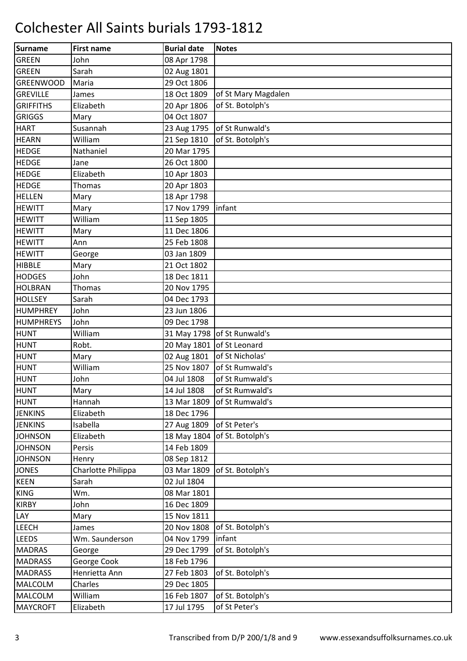| Surname          | <b>First name</b>  | <b>Burial date</b> | <b>Notes</b>                |
|------------------|--------------------|--------------------|-----------------------------|
| <b>GREEN</b>     | John               | 08 Apr 1798        |                             |
| <b>GREEN</b>     | Sarah              | 02 Aug 1801        |                             |
| <b>GREENWOOD</b> | Maria              | 29 Oct 1806        |                             |
| <b>GREVILLE</b>  | James              | 18 Oct 1809        | of St Mary Magdalen         |
| <b>GRIFFITHS</b> | Elizabeth          | 20 Apr 1806        | of St. Botolph's            |
| <b>GRIGGS</b>    | Mary               | 04 Oct 1807        |                             |
| <b>HART</b>      | Susannah           | 23 Aug 1795        | of St Runwald's             |
| <b>HEARN</b>     | William            | 21 Sep 1810        | of St. Botolph's            |
| <b>HEDGE</b>     | Nathaniel          | 20 Mar 1795        |                             |
| <b>HEDGE</b>     | Jane               | 26 Oct 1800        |                             |
| <b>HEDGE</b>     | Elizabeth          | 10 Apr 1803        |                             |
| <b>HEDGE</b>     | Thomas             | 20 Apr 1803        |                             |
| <b>HELLEN</b>    | Mary               | 18 Apr 1798        |                             |
| <b>HEWITT</b>    | Mary               | 17 Nov 1799        | infant                      |
| <b>HEWITT</b>    | William            | 11 Sep 1805        |                             |
| <b>HEWITT</b>    | Mary               | 11 Dec 1806        |                             |
| <b>HEWITT</b>    | Ann                | 25 Feb 1808        |                             |
| <b>HEWITT</b>    | George             | 03 Jan 1809        |                             |
| <b>HIBBLE</b>    | Mary               | 21 Oct 1802        |                             |
| <b>HODGES</b>    | John               | 18 Dec 1811        |                             |
| <b>HOLBRAN</b>   | Thomas             | 20 Nov 1795        |                             |
| <b>HOLLSEY</b>   | Sarah              | 04 Dec 1793        |                             |
| <b>HUMPHREY</b>  | John               | 23 Jun 1806        |                             |
| HUMPHREYS        | John               | 09 Dec 1798        |                             |
| <b>HUNT</b>      | William            |                    | 31 May 1798 of St Runwald's |
| <b>HUNT</b>      | Robt.              | 20 May 1801        | of St Leonard               |
| <b>HUNT</b>      | Mary               | 02 Aug 1801        | of St Nicholas'             |
| <b>HUNT</b>      | William            | 25 Nov 1807        | of St Rumwald's             |
| <b>HUNT</b>      | John               | 04 Jul 1808        | of St Rumwald's             |
| <b>HUNT</b>      | Mary               | 14 Jul 1808        | of St Rumwald's             |
| <b>HUNT</b>      | Hannah             | 13 Mar 1809        | of St Rumwald's             |
| <b>JENKINS</b>   | Elizabeth          | 18 Dec 1796        |                             |
| <b>JENKINS</b>   | Isabella           | 27 Aug 1809        | of St Peter's               |
| <b>JOHNSON</b>   | Elizabeth          | 18 May 1804        | of St. Botolph's            |
| <b>JOHNSON</b>   | Persis             | 14 Feb 1809        |                             |
| <b>JOHNSON</b>   | Henry              | 08 Sep 1812        |                             |
| <b>JONES</b>     | Charlotte Philippa | 03 Mar 1809        | of St. Botolph's            |
| <b>KEEN</b>      | Sarah              | 02 Jul 1804        |                             |
| <b>KING</b>      | Wm.                | 08 Mar 1801        |                             |
| <b>KIRBY</b>     | John               | 16 Dec 1809        |                             |
| LAY              | Mary               | 15 Nov 1811        |                             |
| <b>LEECH</b>     | James              | 20 Nov 1808        | of St. Botolph's            |
| <b>LEEDS</b>     | Wm. Saunderson     | 04 Nov 1799        | infant                      |
| <b>MADRAS</b>    | George             | 29 Dec 1799        | of St. Botolph's            |
| <b>MADRASS</b>   | George Cook        | 18 Feb 1796        |                             |
| <b>MADRASS</b>   | Henrietta Ann      | 27 Feb 1803        | of St. Botolph's            |
| <b>MALCOLM</b>   | Charles            | 29 Dec 1805        |                             |
| MALCOLM          | William            | 16 Feb 1807        | of St. Botolph's            |
| <b>MAYCROFT</b>  | Elizabeth          | 17 Jul 1795        | of St Peter's               |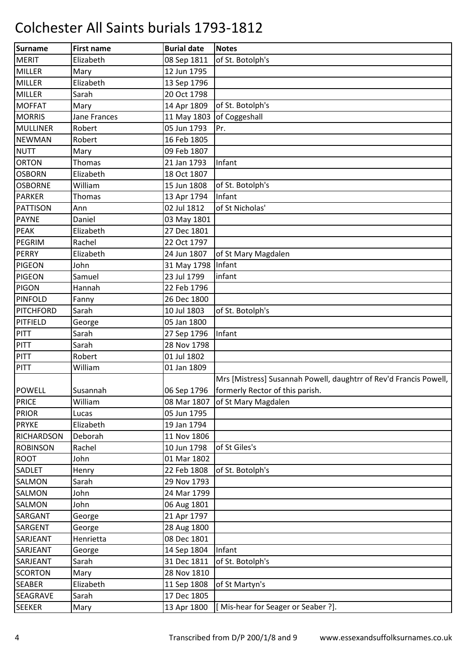| Surname           | <b>First name</b> | <b>Burial date</b>   | <b>Notes</b>                                                      |
|-------------------|-------------------|----------------------|-------------------------------------------------------------------|
| <b>MERIT</b>      | Elizabeth         | 08 Sep 1811          | of St. Botolph's                                                  |
| MILLER            | Mary              | 12 Jun 1795          |                                                                   |
| <b>MILLER</b>     | Elizabeth         | 13 Sep 1796          |                                                                   |
| <b>MILLER</b>     | Sarah             | 20 Oct 1798          |                                                                   |
| <b>MOFFAT</b>     | Mary              | 14 Apr 1809          | of St. Botolph's                                                  |
| <b>MORRIS</b>     | Jane Frances      | 11 May 1803          | of Coggeshall                                                     |
| <b>MULLINER</b>   | Robert            | 05 Jun 1793          | Pr.                                                               |
| <b>NEWMAN</b>     | Robert            | 16 Feb 1805          |                                                                   |
| <b>NUTT</b>       | Mary              | 09 Feb 1807          |                                                                   |
| <b>ORTON</b>      | Thomas            | 21 Jan 1793          | Infant                                                            |
| <b>OSBORN</b>     | Elizabeth         | 18 Oct 1807          |                                                                   |
| <b>OSBORNE</b>    | William           | 15 Jun 1808          | of St. Botolph's                                                  |
| <b>PARKER</b>     | <b>Thomas</b>     | 13 Apr 1794          | Infant                                                            |
| PATTISON          | Ann               | 02 Jul 1812          | of St Nicholas'                                                   |
| <b>PAYNE</b>      | Daniel            | 03 May 1801          |                                                                   |
| <b>PEAK</b>       | Elizabeth         | 27 Dec 1801          |                                                                   |
| PEGRIM            | Rachel            | 22 Oct 1797          |                                                                   |
| <b>PERRY</b>      | Elizabeth         | 24 Jun 1807          | of St Mary Magdalen                                               |
| <b>PIGEON</b>     | John              | 31 May 1798   Infant |                                                                   |
| <b>PIGEON</b>     | Samuel            | 23 Jul 1799          | infant                                                            |
| <b>PIGON</b>      | Hannah            | 22 Feb 1796          |                                                                   |
| <b>PINFOLD</b>    | Fanny             | 26 Dec 1800          |                                                                   |
| PITCHFORD         | Sarah             | 10 Jul 1803          | of St. Botolph's                                                  |
| PITFIELD          | George            | 05 Jan 1800          |                                                                   |
| <b>PITT</b>       | Sarah             | 27 Sep 1796          | Infant                                                            |
| PITT              | Sarah             | 28 Nov 1798          |                                                                   |
| PITT              | Robert            | 01 Jul 1802          |                                                                   |
| PITT              | William           | 01 Jan 1809          |                                                                   |
|                   |                   |                      | Mrs [Mistress] Susannah Powell, daughtrr of Rev'd Francis Powell, |
| <b>POWELL</b>     | Susannah          |                      | 06 Sep 1796   formerly Rector of this parish.                     |
| PRICE             | William           |                      | 08 Mar 1807 of St Mary Magdalen                                   |
| <b>PRIOR</b>      | Lucas             | 05 Jun 1795          |                                                                   |
| <b>PRYKE</b>      | Elizabeth         | 19 Jan 1794          |                                                                   |
| <b>RICHARDSON</b> | Deborah           | 11 Nov 1806          |                                                                   |
| <b>ROBINSON</b>   | Rachel            | 10 Jun 1798          | of St Giles's                                                     |
| <b>ROOT</b>       | John              | 01 Mar 1802          |                                                                   |
| SADLET            | Henry             | 22 Feb 1808          | of St. Botolph's                                                  |
| <b>SALMON</b>     | Sarah             | 29 Nov 1793          |                                                                   |
| <b>SALMON</b>     | John              | 24 Mar 1799          |                                                                   |
| <b>SALMON</b>     | John              | 06 Aug 1801          |                                                                   |
| <b>SARGANT</b>    | George            | 21 Apr 1797          |                                                                   |
| SARGENT           | George            | 28 Aug 1800          |                                                                   |
| SARJEANT          | Henrietta         | 08 Dec 1801          |                                                                   |
| SARJEANT          | George            | 14 Sep 1804          | Infant                                                            |
| SARJEANT          | Sarah             | 31 Dec 1811          | of St. Botolph's                                                  |
| <b>SCORTON</b>    | Mary              | 28 Nov 1810          |                                                                   |
| <b>SEABER</b>     | Elizabeth         | 11 Sep 1808          | of St Martyn's                                                    |
| SEAGRAVE          | Sarah             | 17 Dec 1805          |                                                                   |
| <b>SEEKER</b>     | Mary              | 13 Apr 1800          | [Mis-hear for Seager or Seaber ?].                                |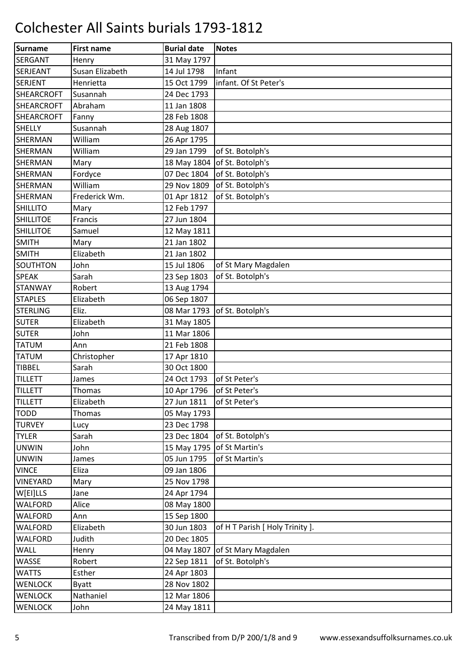| Surname           | <b>First name</b> | <b>Burial date</b> | <b>Notes</b>                    |
|-------------------|-------------------|--------------------|---------------------------------|
| <b>SERGANT</b>    | Henry             | 31 May 1797        |                                 |
| <b>SERJEANT</b>   | Susan Elizabeth   | 14 Jul 1798        | Infant                          |
| <b>SERJENT</b>    | Henrietta         | 15 Oct 1799        | infant. Of St Peter's           |
| <b>SHEARCROFT</b> | Susannah          | 24 Dec 1793        |                                 |
| <b>SHEARCROFT</b> | Abraham           | 11 Jan 1808        |                                 |
| <b>SHEARCROFT</b> | Fanny             | 28 Feb 1808        |                                 |
| <b>SHELLY</b>     | Susannah          | 28 Aug 1807        |                                 |
| <b>SHERMAN</b>    | William           | 26 Apr 1795        |                                 |
| <b>SHERMAN</b>    | William           | 29 Jan 1799        | of St. Botolph's                |
| <b>SHERMAN</b>    | Mary              |                    | 18 May 1804 of St. Botolph's    |
| <b>SHERMAN</b>    | Fordyce           | 07 Dec 1804        | of St. Botolph's                |
| <b>SHERMAN</b>    | William           | 29 Nov 1809        | of St. Botolph's                |
| <b>SHERMAN</b>    | Frederick Wm.     | 01 Apr 1812        | of St. Botolph's                |
| <b>SHILLITO</b>   | Mary              | 12 Feb 1797        |                                 |
| <b>SHILLITOE</b>  | Francis           | 27 Jun 1804        |                                 |
| <b>SHILLITOE</b>  | Samuel            | 12 May 1811        |                                 |
| <b>SMITH</b>      | Mary              | 21 Jan 1802        |                                 |
| <b>SMITH</b>      | Elizabeth         | 21 Jan 1802        |                                 |
| SOUTHTON          | John              | 15 Jul 1806        | of St Mary Magdalen             |
| <b>SPEAK</b>      | Sarah             | 23 Sep 1803        | of St. Botolph's                |
| <b>STANWAY</b>    | Robert            | 13 Aug 1794        |                                 |
| <b>STAPLES</b>    | Elizabeth         | 06 Sep 1807        |                                 |
| <b>STERLING</b>   | Eliz.             | 08 Mar 1793        | of St. Botolph's                |
| <b>SUTER</b>      | Elizabeth         | 31 May 1805        |                                 |
| <b>SUTER</b>      | John              | 11 Mar 1806        |                                 |
| <b>TATUM</b>      | Ann               | 21 Feb 1808        |                                 |
| <b>TATUM</b>      | Christopher       | 17 Apr 1810        |                                 |
| <b>TIBBEL</b>     | Sarah             | 30 Oct 1800        |                                 |
| <b>TILLETT</b>    | James             | 24 Oct 1793        | of St Peter's                   |
| <b>TILLETT</b>    | Thomas            | 10 Apr 1796        | of St Peter's                   |
| <b>TILLETT</b>    | Elizabeth         | 27 Jun 1811        | of St Peter's                   |
| <b>TODD</b>       | <b>Thomas</b>     | 05 May 1793        |                                 |
| <b>TURVEY</b>     | Lucy              | 23 Dec 1798        |                                 |
| <b>TYLER</b>      | Sarah             | 23 Dec 1804        | of St. Botolph's                |
| <b>UNWIN</b>      | John              |                    | 15 May 1795 of St Martin's      |
| <b>UNWIN</b>      | James             | 05 Jun 1795        | of St Martin's                  |
| <b>VINCE</b>      | Eliza             | 09 Jan 1806        |                                 |
| <b>VINEYARD</b>   | Mary              | 25 Nov 1798        |                                 |
| W[EI]LLS          | Jane              | 24 Apr 1794        |                                 |
| <b>WALFORD</b>    | Alice             | 08 May 1800        |                                 |
| WALFORD           | Ann               | 15 Sep 1800        |                                 |
| <b>WALFORD</b>    | Elizabeth         | 30 Jun 1803        | of H T Parish [ Holy Trinity ]. |
| <b>WALFORD</b>    | Judith            | 20 Dec 1805        |                                 |
| WALL              | Henry             | 04 May 1807        | of St Mary Magdalen             |
| WASSE             | Robert            | 22 Sep 1811        | of St. Botolph's                |
| <b>WATTS</b>      | Esther            | 24 Apr 1803        |                                 |
| <b>WENLOCK</b>    | <b>Byatt</b>      | 28 Nov 1802        |                                 |
| <b>WENLOCK</b>    | Nathaniel         | 12 Mar 1806        |                                 |
| <b>WENLOCK</b>    | John              | 24 May 1811        |                                 |